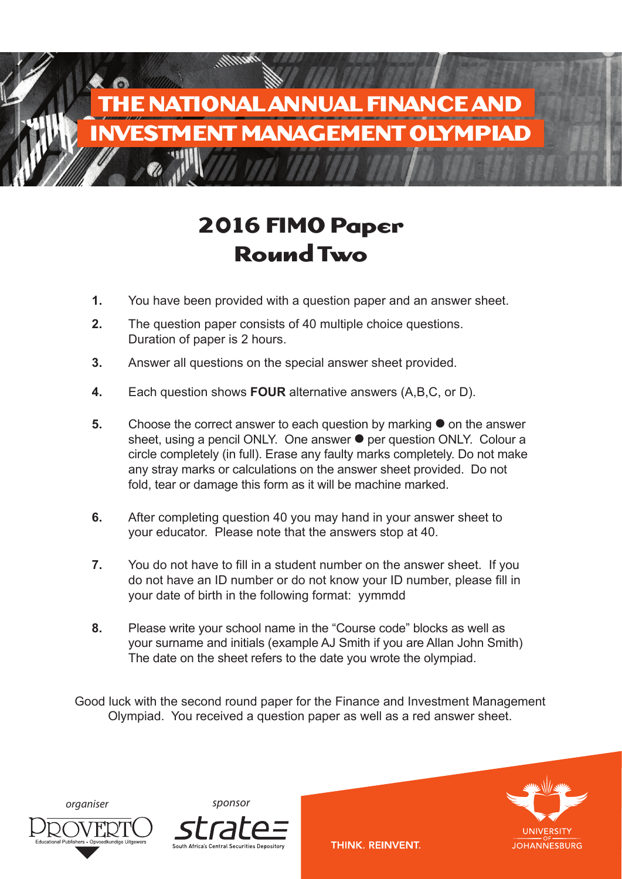

# **2016 FIMO Paper Round Two**

- **1.** You have been provided with a question paper and an answer sheet.
- **2.** The question paper consists of 40 multiple choice questions. Duration of paper is 2 hours.
- **3.** Answer all questions on the special answer sheet provided.
- **4.** Each question shows **FOUR** alternative answers (A,B,C, or D).
- **5.** Choose the correct answer to each question by marking on the answer sheet, using a pencil ONLY. One answer  $\bullet$  per question ONLY. Colour a circle completely (in full). Erase any faulty marks completely. Do not make any stray marks or calculations on the answer sheet provided. Do not fold, tear or damage this form as it will be machine marked.
- **6.** After completing question 40 you may hand in your answer sheet to your educator. Please note that the answers stop at 40.
- **7.** You do not have to fill in a student number on the answer sheet. If you do not have an ID number or do not know your ID number, please fill in your date of birth in the following format: yymmdd
- **8.** Please write your school name in the "Course code" blocks as well as your surname and initials (example AJ Smith if you are Allan John Smith) The date on the sheet refers to the date you wrote the olympiad.

Good luck with the second round paper for the Finance and Investment Management Olympiad. You received a question paper as well as a red answer sheet.







THINK. REINVENT.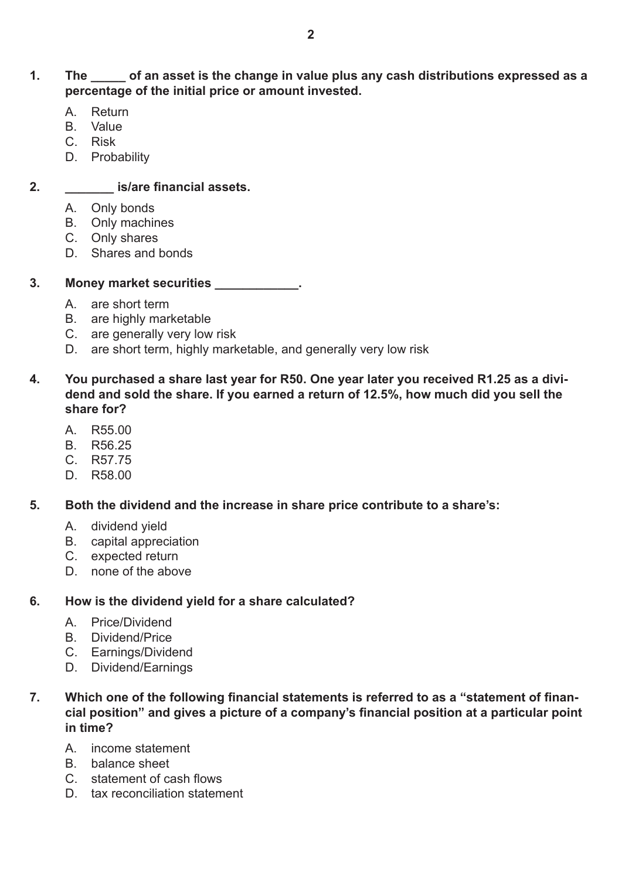## **1. The \_\_\_\_\_ of an asset is the change in value plus any cash distributions expressed as a percentage of the initial price or amount invested.**

- A. Return
- B. Value
- C. Risk
- D. Probability

## **2. \_\_\_\_\_\_\_ is/are financial assets.**

- A. Only bonds
- B. Only machines
- C. Only shares
- D. Shares and bonds

#### **3. Money market securities \_\_\_\_\_\_\_\_\_\_\_\_.**

- A. are short term
- B. are highly marketable
- C. are generally very low risk
- D. are short term, highly marketable, and generally very low risk
- **4. You purchased a share last year for R50. One year later you received R1.25 as a dividend and sold the share. If you earned a return of 12.5%, how much did you sell the share for?**
	- A. R55.00
	- B. R56.25
	- C. R57.75
	- D. R58.00
- **5. Both the dividend and the increase in share price contribute to a share's:**
	- A. dividend yield
	- B. capital appreciation
	- C. expected return
	- D. none of the above

#### **6. How is the dividend yield for a share calculated?**

- A. Price/Dividend
- B. Dividend/Price
- C. Earnings/Dividend
- D. Dividend/Earnings
- **7. Which one of the following financial statements is referred to as a "statement of financial position" and gives a picture of a company's financial position at a particular point in time?**
	- A. income statement
	- B. balance sheet
	- C. statement of cash flows
	- D. tax reconciliation statement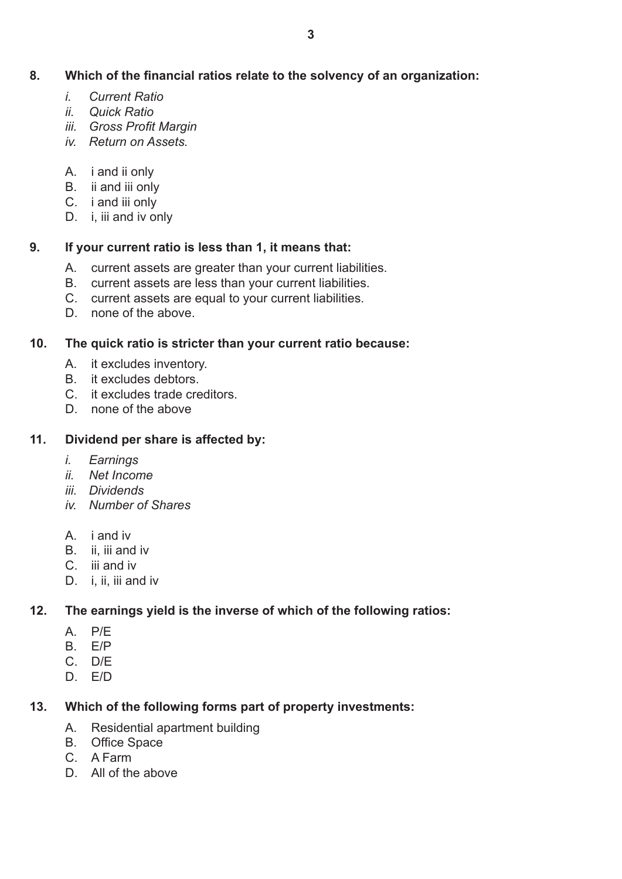## **8. Which of the financial ratios relate to the solvency of an organization:**

- *i. Current Ratio*
- *ii. Quick Ratio*
- *iii. Gross Profit Margin*
- *iv. Return on Assets.*
- A. i and ii only
- B. ii and iii only
- C. i and iii only
- D. i, iii and iv only

## **9. If your current ratio is less than 1, it means that:**

- A. current assets are greater than your current liabilities.
- B. current assets are less than your current liabilities.
- C. current assets are equal to your current liabilities.
- D. none of the above.

## **10. The quick ratio is stricter than your current ratio because:**

- A. it excludes inventory.
- B. it excludes debtors.
- C. it excludes trade creditors.
- D. none of the above

# **11. Dividend per share is affected by:**

- *i. Earnings*
- *ii. Net Income*
- *iii. Dividends*
- *iv. Number of Shares*
- A. i and iv
- B. ii, iii and iv
- C. iii and iv
- D. *i*, *ii*, *iii* and iv

# **12. The earnings yield is the inverse of which of the following ratios:**

- A. P/E
- B. E/P
- C. D/E
- D. E/D

# **13. Which of the following forms part of property investments:**

- A. Residential apartment building
- B. Office Space
- C. A Farm
- D. All of the above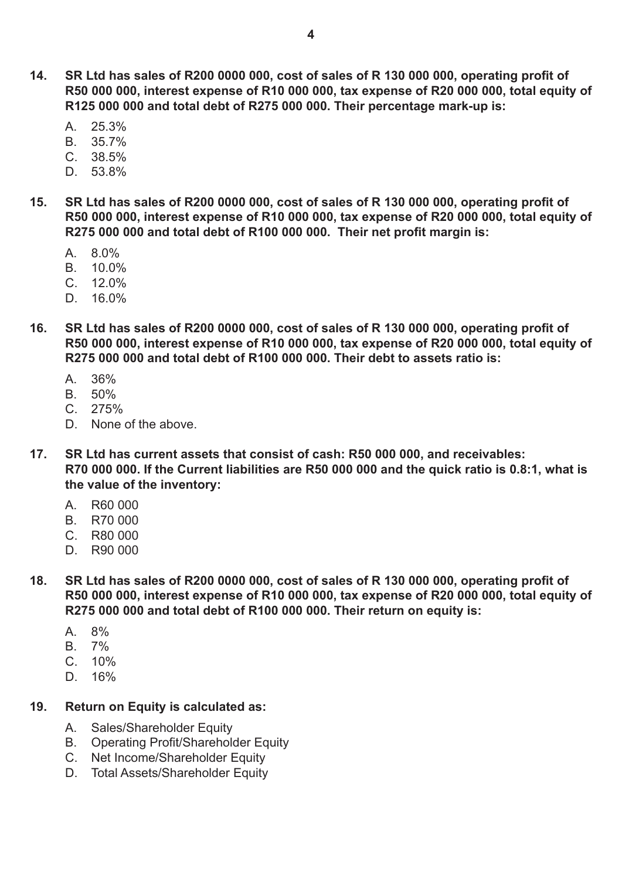- **14. SR Ltd has sales of R200 0000 000, cost of sales of R 130 000 000, operating profit of R50 000 000, interest expense of R10 000 000, tax expense of R20 000 000, total equity of R125 000 000 and total debt of R275 000 000. Their percentage mark-up is:**
	- A. 25.3%
	- B. 35.7%
	- C. 38.5%
	- D. 53.8%
- **15. SR Ltd has sales of R200 0000 000, cost of sales of R 130 000 000, operating profit of R50 000 000, interest expense of R10 000 000, tax expense of R20 000 000, total equity of R275 000 000 and total debt of R100 000 000. Their net profit margin is:**
	- A. 8.0%
	- B. 10.0%
	- C. 12.0%
	- D. 16.0%
- **16. SR Ltd has sales of R200 0000 000, cost of sales of R 130 000 000, operating profit of R50 000 000, interest expense of R10 000 000, tax expense of R20 000 000, total equity of R275 000 000 and total debt of R100 000 000. Their debt to assets ratio is:**
	- $A$   $36\%$
	- B. 50%
	- $C. 275%$
	- D. None of the above.
- **17. SR Ltd has current assets that consist of cash: R50 000 000, and receivables: R70 000 000. If the Current liabilities are R50 000 000 and the quick ratio is 0.8:1, what is the value of the inventory:**
	- A. R60 000
	- B. R70 000
	- C. R80 000
	- D. R90 000
- **18. SR Ltd has sales of R200 0000 000, cost of sales of R 130 000 000, operating profit of R50 000 000, interest expense of R10 000 000, tax expense of R20 000 000, total equity of R275 000 000 and total debt of R100 000 000. Their return on equity is:**
	- A. 8%
	- B. 7%
	- $C. 10%$
	- D. 16%

## **19. Return on Equity is calculated as:**

- A. Sales/Shareholder Equity
- B. Operating Profit/Shareholder Equity
- C. Net Income/Shareholder Equity
- D. Total Assets/Shareholder Equity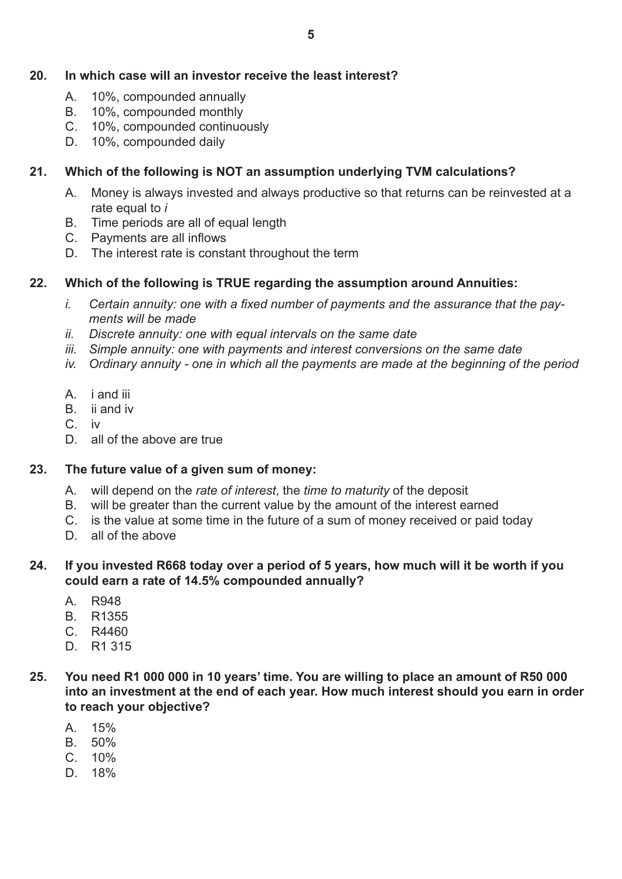### **20. In which case will an investor receive the least interest?**

- A. 10%, compounded annually
- B. 10%, compounded monthly
- C. 10%, compounded continuously
- D. 10%, compounded daily

### **21. Which of the following is NOT an assumption underlying TVM calculations?**

- A. Money is always invested and always productive so that returns can be reinvested at a rate equal to *i*
- B. Time periods are all of equal length
- C. Payments are all inflows
- D. The interest rate is constant throughout the term

#### **22. Which of the following is TRUE regarding the assumption around Annuities:**

- *i. Certain annuity: one with a fixed number of payments and the assurance that the payments will be made*
- *ii. Discrete annuity: one with equal intervals on the same date*
- *iii. Simple annuity: one with payments and interest conversions on the same date*
- *iv. Ordinary annuity - one in which all the payments are made at the beginning of the period*
- A. i and iii
- B. ii and iv
- C. iv
- D. all of the above are true

#### **23. The future value of a given sum of money:**

- A. will depend on the *rate of interest*, the *time to maturity* of the deposit
- B. will be greater than the current value by the amount of the interest earned
- C. is the value at some time in the future of a sum of money received or paid today
- D. all of the above

#### **24. If you invested R668 today over a period of 5 years, how much will it be worth if you could earn a rate of 14.5% compounded annually?**

- A. R948
- B. R1355
- C. R4460
- D. R1 315
- **25. You need R1 000 000 in 10 years' time. You are willing to place an amount of R50 000 into an investment at the end of each year. How much interest should you earn in order to reach your objective?**
	- $A = 15\%$
	- B. 50%
	- C. 10%
	- D. 18%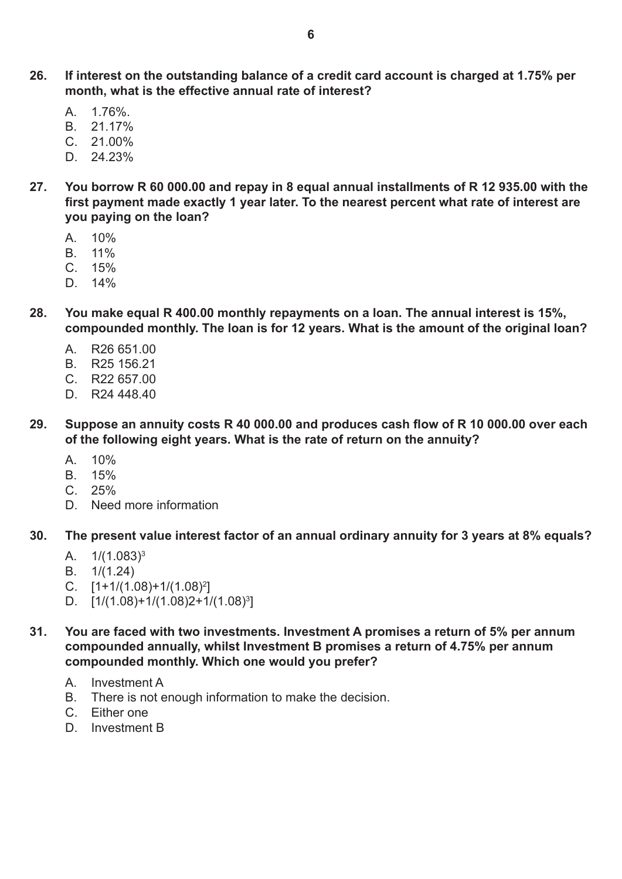- $A = 1.76\%$
- B. 21.17%
- C. 21.00%
- D. 24.23%
- **27. You borrow R 60 000.00 and repay in 8 equal annual installments of R 12 935.00 with the first payment made exactly 1 year later. To the nearest percent what rate of interest are you paying on the loan?**
	- $A = 10\%$
	- B. 11%
	- $C. 15%$
	- D. 14%
- **28. You make equal R 400.00 monthly repayments on a loan. The annual interest is 15%, compounded monthly. The loan is for 12 years. What is the amount of the original loan?**
	- A. R26 651.00
	- B. R25 156.21
	- C. R22 657.00
	- D. R24 448.40
- **29. Suppose an annuity costs R 40 000.00 and produces cash flow of R 10 000.00 over each of the following eight years. What is the rate of return on the annuity?**
	- A. 10%
	- B. 15%
	- $C. 25%$
	- D. Need more information
- **30. The present value interest factor of an annual ordinary annuity for 3 years at 8% equals?**
	- A. 1/(1.083)3
	- B. 1/(1.24)
	- C.  $[1+1/(1.08)+1/(1.08)^2]$
	- D. [1/(1.08)+1/(1.08)2+1/(1.08)3 ]
- **31. You are faced with two investments. Investment A promises a return of 5% per annum compounded annually, whilst Investment B promises a return of 4.75% per annum compounded monthly. Which one would you prefer?**
	- A. Investment A
	- B. There is not enough information to make the decision.
	- C. Either one
	- D. Investment B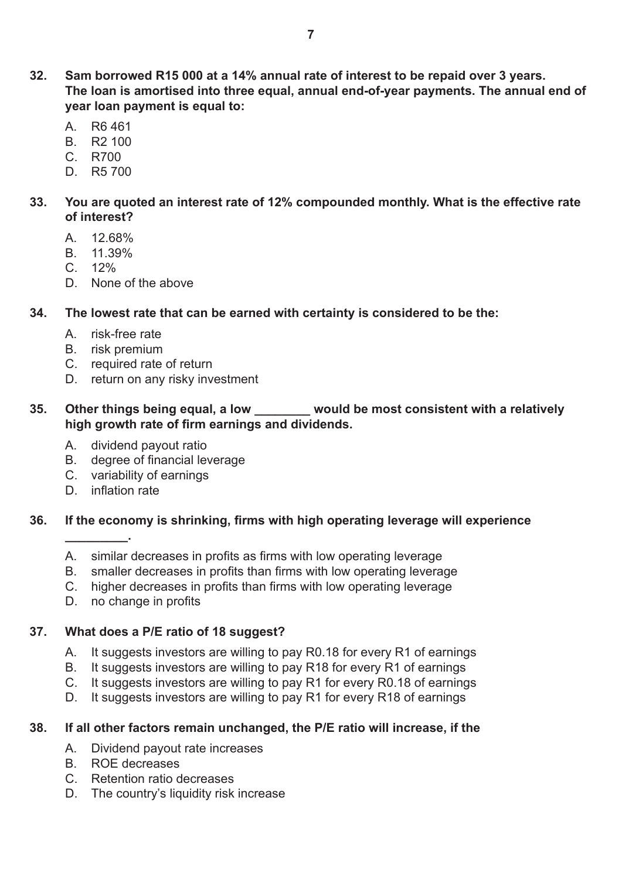- **32. Sam borrowed R15 000 at a 14% annual rate of interest to be repaid over 3 years. The loan is amortised into three equal, annual end-of-year payments. The annual end of year loan payment is equal to:**
	- A. R6 461
	- B. R2 100
	- C. R700
	- D. R5 700

#### **33. You are quoted an interest rate of 12% compounded monthly. What is the effective rate of interest?**

- A. 12.68%
- B. 11.39%
- $C. 12%$
- D. None of the above

#### **34. The lowest rate that can be earned with certainty is considered to be the:**

- A. risk-free rate
- B. risk premium
- C. required rate of return
- D. return on any risky investment

## **35. Other things being equal, a low \_\_\_\_\_\_\_\_ would be most consistent with a relatively high growth rate of firm earnings and dividends.**

- A. dividend payout ratio
- B. degree of financial leverage
- C. variability of earnings
- D. inflation rate

**\_\_\_\_\_\_\_\_\_.**

#### **36. If the economy is shrinking, firms with high operating leverage will experience**

- A. similar decreases in profits as firms with low operating leverage
- B. smaller decreases in profits than firms with low operating leverage
- C. higher decreases in profits than firms with low operating leverage
- D. no change in profits

## **37. What does a P/E ratio of 18 suggest?**

- A. It suggests investors are willing to pay R0.18 for every R1 of earnings
- B. It suggests investors are willing to pay R18 for every R1 of earnings
- C. It suggests investors are willing to pay R1 for every R0.18 of earnings
- D. It suggests investors are willing to pay R1 for every R18 of earnings

## **38. If all other factors remain unchanged, the P/E ratio will increase, if the**

- A. Dividend payout rate increases
- B. ROE decreases
- C. Retention ratio decreases
- D. The country's liquidity risk increase